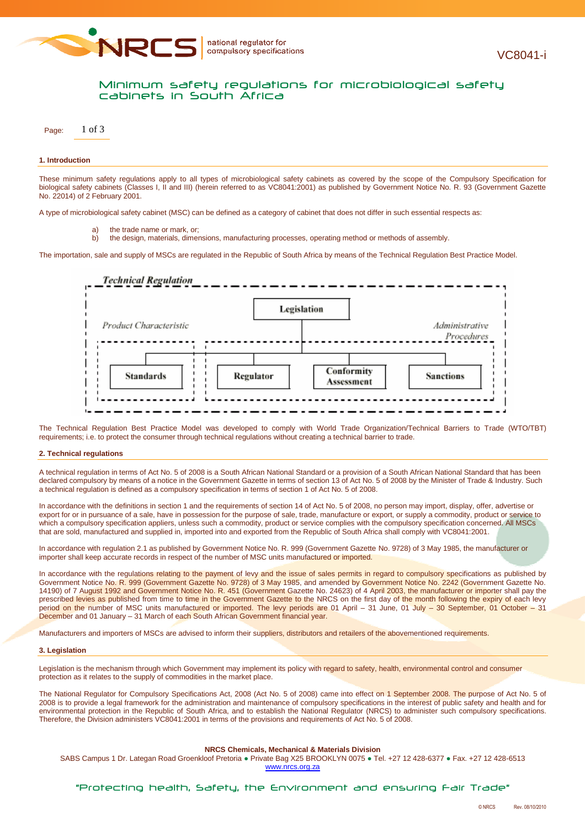

# Minimum safety regulations for microbiological safety cabinets in South Africa

Page: 1 of 3

## **1. Introduction**

These minimum safety regulations apply to all types of microbiological safety cabinets as covered by the scope of the Compulsory Specification for biological safety cabinets (Classes I, II and III) (herein referred to as VC8041:2001) as published by Government Notice No. R. 93 (Government Gazette No. 22014) of 2 February 2001.

A type of microbiological safety cabinet (MSC) can be defined as a category of cabinet that does not differ in such essential respects as:

- a) the trade name or mark, or;
- b) the design, materials, dimensions, manufacturing processes, operating method or methods of assembly.

The importation, sale and supply of MSCs are regulated in the Republic of South Africa by means of the Technical Regulation Best Practice Model.



The Technical Regulation Best Practice Model was developed to comply with World Trade Organization/Technical Barriers to Trade (WTO/TBT) requirements; i.e. to protect the consumer through technical regulations without creating a technical barrier to trade.

#### **2. Technical regulations**

A technical regulation in terms of Act No. 5 of 2008 is a South African National Standard or a provision of a South African National Standard that has been declared compulsory by means of a notice in the Government Gazette in terms of section 13 of Act No. 5 of 2008 by the Minister of Trade & Industry. Such a technical regulation is defined as a compulsory specification in terms of section 1 of Act No. 5 of 2008.

In accordance with the definitions in section 1 and the requirements of section 14 of Act No. 5 of 2008, no person may import, display, offer, advertise or export for or in pursuance of a sale, have in possession for the purpose of sale, trade, manufacture or export, or supply a commodity, product or service to which a compulsory specification appliers, unless such a commodity, product or service complies with the compulsory specification concerned. All MSCs that are sold, manufactured and supplied in, imported into and exported from the Republic of South Africa shall comply with VC8041:2001.

In accordance with regulation 2.1 as published by Government Notice No. R. 999 (Government Gazette No. 9728) of 3 May 1985, the manufacturer or importer shall keep accurate records in respect of the number of MSC units manufactured or imported.

In accordance with the regulations relating to the payment of levy and the issue of sales permits in regard to compulsory specifications as published by Government Notice No. R. 999 (Government Gazette No. 9728) of 3 May 1985, and amended by Government Notice No. 2242 (Government Gazette No. 14190) of 7 August 1992 and Government Notice No. R. 451 (Government Gazette No. 24623) of 4 April 2003, the manufacturer or importer shall pay the prescribed levies as published from time to time in the Government Gazette to the NRCS on the first day of the month following the expiry of each levy period on the number of MSC units manufactured or imported. The levy periods are 01 April - 31 June, 01 July - 30 September, 01 October - 31 December and 01 January - 31 March of each South African Government financial year.

Manufacturers and importers of MSCs are advised to inform their suppliers, distributors and retailers of the abovementioned requirements.

#### **3. Legislation**

Legislation is the mechanism through which Government may implement its policy with regard to safety, health, environmental control and consumer protection as it relates to the supply of commodities in the market place.

The National Regulator for Compulsory Specifications Act, 2008 (Act No. 5 of 2008) came into effect on 1 September 2008. The purpose of Act No. 5 of 2008 is to provide a legal framework for the administration and maintenance of compulsory specifications in the interest of public safety and health and for environmental protection in the Republic of South Africa, and to establish the National Regulator (NRCS) to administer such compulsory specifications. Therefore, the Division administers VC8041:2001 in terms of the provisions and requirements of Act No. 5 of 2008.

## **NRCS Chemicals, Mechanical & Materials Division**

SABS Campus 1 Dr. Lategan Road Groenkloof Pretoria ● Private Bag X25 BROOKLYN 0075 ● Tel. +27 12 428-6377 ● Fax. +27 12 428-6513 www.nrcs.org.za

"Protecting health, Safety, the Environment and ensuring Fair Trade"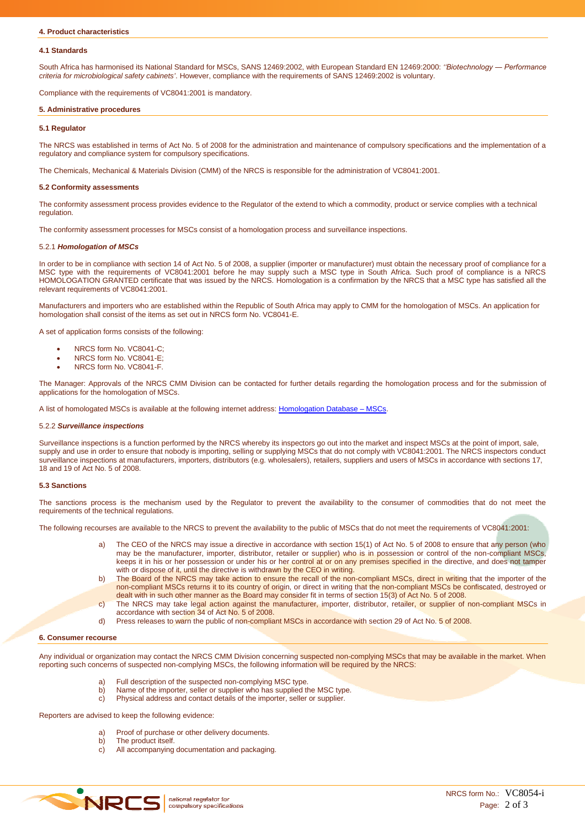## **4.1 Standards**

South Africa has harmonised its National Standard for MSCs, SANS 12469:2002, with European Standard EN 12469:2000: *''Biotechnology ― Performance criteria for microbiological safety cabinets'*. However, compliance with the requirements of SANS 12469:2002 is voluntary.

Compliance with the requirements of VC8041:2001 is mandatory.

## **5. Administrative procedures**

## **5.1 Regulator**

The NRCS was established in terms of Act No. 5 of 2008 for the administration and maintenance of compulsory specifications and the implementation of a regulatory and compliance system for compulsory specifications.

The Chemicals, Mechanical & Materials Division (CMM) of the NRCS is responsible for the administration of VC8041:2001.

## **5.2 Conformity assessments**

The conformity assessment process provides evidence to the Regulator of the extend to which a commodity, product or service complies with a technical regulation.

The conformity assessment processes for MSCs consist of a homologation process and surveillance inspections.

#### 5.2.1 *Homologation of MSCs*

In order to be in compliance with section 14 of Act No. 5 of 2008, a supplier (importer or manufacturer) must obtain the necessary proof of compliance for a MSC type with the requirements of VC8041:2001 before he may supply such a MSC type in South Africa. Such proof of compliance is a NRCS HOMOLOGATION GRANTED certificate that was issued by the NRCS. Homologation is a confirmation by the NRCS that a MSC type has satisfied all the relevant requirements of VC8041:2001.

Manufacturers and importers who are established within the Republic of South Africa may apply to CMM for the homologation of MSCs. An application for homologation shall consist of the items as set out in NRCS form No. VC8041-E.

A set of application forms consists of the following:

- NRCS form No. VC8041-C;
- NRCS form No. VC8041-E;
- NRCS form No. VC8041-F.

The Manager: Approvals of the NRCS CMM Division can be contacted for further details regarding the homologation process and for the submission of applications for the homologation of MSCs.

A list of homologated MSCs is available at the following internet address: Homologation Database - MSCs.

#### 5.2.2 *Surveillance inspections*

Surveillance inspections is a function performed by the NRCS whereby its inspectors go out into the market and inspect MSCs at the point of import, sale, supply and use in order to ensure that nobody is importing, selling or supplying MSCs that do not comply with VC8041:2001. The NRCS inspectors conduct surveillance inspections at manufacturers, importers, distributors (e.g. wholesalers), retailers, suppliers and users of MSCs in accordance with sections 17, 18 and 19 of Act No. 5 of 2008.

#### **5.3 Sanctions**

The sanctions process is the mechanism used by the Regulator to prevent the availability to the consumer of commodities that do not meet the requirements of the technical regulations.

The following recourses are available to the NRCS to prevent the availability to the public of MSCs that do not meet the requirements of VC8041:2001:

- The CEO of the NRCS may issue a directive in accordance with section 15(1) of Act No. 5 of 2008 to ensure that any person (who may be the manufacturer, importer, distributor, retailer or supplier) who is in possession or control of the non-compliant MSCs, keeps it in his or her possession or under his or her control at or on any premises specified in the directive, and does not tamper with or dispose of it, until the directive is withdrawn by the CEO in writing.
- b) The Board of the NRCS may take action to ensure the recall of the non-compliant MSCs, direct in writing that the importer of the non-compliant MSCs returns it to its country of origin, or direct in writing that the non-compliant MSCs be confiscated, destroyed or dealt with in such other manner as the Board may consider fit in terms of section 15(3) of Act No. 5 of 2008.
- c) The NRCS may take legal action against the manufacturer, importer, distributor, retailer, or supplier of non-compliant MSCs in accordance with section 34 of Act No. 5 of 2008.
- d) Press releases to warn the public of non-compliant MSCs in accordance with section 29 of Act No. 5 of 2008.

#### **6. Consumer recourse**

Any individual or organization may contact the NRCS CMM Division concerning suspected non-complying MSCs that may be available in the market. When reporting such concerns of suspected non-complying MSCs, the following information will be required by the NRCS:

- a) Full description of the suspected non-complying MSC type.
- b) Name of the importer, seller or supplier who has supplied the MSC type.
- c) Physical address and contact details of the importer, seller or supplier.

Reporters are advised to keep the following evidence:

- a) Proof of purchase or other delivery documents.
- b) The product itself.
- c) All accompanying documentation and packaging.